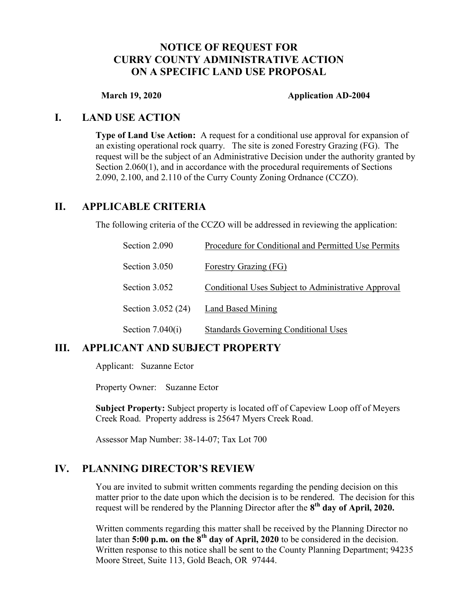## NOTICE OF REQUEST FOR CURRY COUNTY ADMINISTRATIVE ACTION ON A SPECIFIC LAND USE PROPOSAL

#### March 19, 2020 **Application AD-2004**

#### I. LAND USE ACTION

Type of Land Use Action: A request for a conditional use approval for expansion of an existing operational rock quarry. The site is zoned Forestry Grazing (FG). The request will be the subject of an Administrative Decision under the authority granted by Section 2.060(1), and in accordance with the procedural requirements of Sections 2.090, 2.100, and 2.110 of the Curry County Zoning Ordnance (CCZO).

### II. APPLICABLE CRITERIA

The following criteria of the CCZO will be addressed in reviewing the application:

| Section 2.090      | Procedure for Conditional and Permitted Use Permits |
|--------------------|-----------------------------------------------------|
| Section 3.050      | <b>Forestry Grazing (FG)</b>                        |
| Section 3.052      | Conditional Uses Subject to Administrative Approval |
| Section 3.052 (24) | Land Based Mining                                   |
| Section $7.040(i)$ | <b>Standards Governing Conditional Uses</b>         |

## III. APPLICANT AND SUBJECT PROPERTY

Applicant: Suzanne Ector

Property Owner: Suzanne Ector

Subject Property: Subject property is located off of Capeview Loop off of Meyers Creek Road. Property address is 25647 Myers Creek Road.

Assessor Map Number: 38-14-07; Tax Lot 700

#### IV. PLANNING DIRECTOR'S REVIEW

You are invited to submit written comments regarding the pending decision on this matter prior to the date upon which the decision is to be rendered. The decision for this request will be rendered by the Planning Director after the  $8<sup>th</sup>$  day of April, 2020.

Written comments regarding this matter shall be received by the Planning Director no later than 5:00 p.m. on the  $8<sup>th</sup>$  day of April, 2020 to be considered in the decision. Written response to this notice shall be sent to the County Planning Department; 94235 Moore Street, Suite 113, Gold Beach, OR 97444.